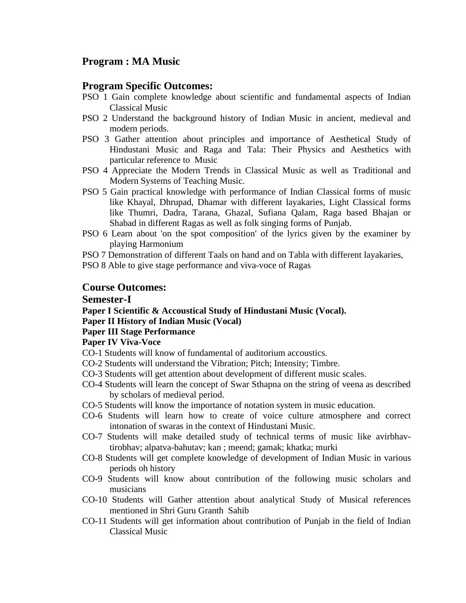# **Program : MA Music**

## **Program Specific Outcomes:**

- PSO 1 Gain complete knowledge about scientific and fundamental aspects of Indian Classical Music
- PSO 2 Understand the background history of Indian Music in ancient, medieval and modern periods.
- PSO 3 Gather attention about principles and importance of Aesthetical Study of Hindustani Music and Raga and Tala: Their Physics and Aesthetics with particular reference to Music
- PSO 4 Appreciate the Modern Trends in Classical Music as well as Traditional and Modern Systems of Teaching Music.
- PSO 5 Gain practical knowledge with performance of Indian Classical forms of music like Khayal, Dhrupad, Dhamar with different layakaries, Light Classical forms like Thumri, Dadra, Tarana, Ghazal, Sufiana Qalam, Raga based Bhajan or Shabad in different Ragas as well as folk singing forms of Punjab.
- PSO 6 Learn about 'on the spot composition' of the lyrics given by the examiner by playing Harmonium
- PSO 7 Demonstration of different Taals on hand and on Tabla with different layakaries,
- PSO 8 Able to give stage performance and viva-voce of Ragas

## **Course Outcomes:**

#### **Semester-I**

**Paper I Scientific & Accoustical Study of Hindustani Music (Vocal). Paper II History of Indian Music (Vocal)**

#### **Paper III Stage Performance**

#### **Paper IV Viva-Voce**

- CO-1 Students will know of fundamental of auditorium accoustics.
- CO-2 Students will understand the Vibration; Pitch; Intensity; Timbre.
- CO-3 Students will get attention about development of different music scales.
- CO-4 Students will learn the concept of Swar Sthapna on the string of veena as described by scholars of medieval period.
- CO-5 Students will know the importance of notation system in music education.
- CO-6 Students will learn how to create of voice culture atmosphere and correct intonation of swaras in the context of Hindustani Music.
- CO-7 Students will make detailed study of technical terms of music like avirbhavtirobhav; alpatva-bahutav; kan ; meend; gamak; khatka; murki
- CO-8 Students will get complete knowledge of development of Indian Music in various periods oh history
- CO-9 Students will know about contribution of the following music scholars and musicians
- CO-10 Students will Gather attention about analytical Study of Musical references mentioned in Shri Guru Granth Sahib
- CO-11 Students will get information about contribution of Punjab in the field of Indian Classical Music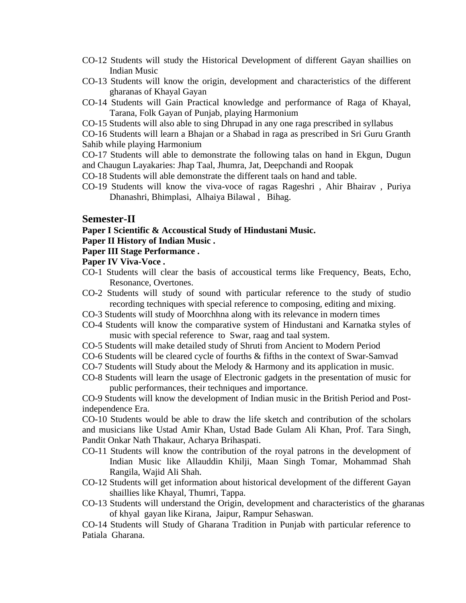- CO-12 Students will study the Historical Development of different Gayan shaillies on Indian Music
- CO-13 Students will know the origin, development and characteristics of the different gharanas of Khayal Gayan
- CO-14 Students will Gain Practical knowledge and performance of Raga of Khayal, Tarana, Folk Gayan of Punjab, playing Harmonium
- CO-15 Students will also able to sing Dhrupad in any one raga prescribed in syllabus

CO-16 Students will learn a Bhajan or a Shabad in raga as prescribed in Sri Guru Granth Sahib while playing Harmonium

CO-17 Students will able to demonstrate the following talas on hand in Ekgun, Dugun and Chaugun Layakaries: Jhap Taal, Jhumra, Jat, Deepchandi and Roopak

- CO-18 Students will able demonstrate the different taals on hand and table.
- CO-19 Students will know the viva-voce of ragas Rageshri , Ahir Bhairav , Puriya Dhanashri, Bhimplasi, Alhaiya Bilawal , Bihag.

#### **Semester-II**

**Paper I Scientific & Accoustical Study of Hindustani Music.**

#### **Paper II History of Indian Music .**

#### **Paper III Stage Performance .**

#### **Paper IV Viva-Voce .**

- CO-1 Students will clear the basis of accoustical terms like Frequency, Beats, Echo, Resonance, Overtones.
- CO-2 Students will study of sound with particular reference to the study of studio recording techniques with special reference to composing, editing and mixing.
- CO-3 Students will study of Moorchhna along with its relevance in modern times
- CO-4 Students will know the comparative system of Hindustani and Karnatka styles of music with special reference to Swar, raag and taal system.
- CO-5 Students will make detailed study of Shruti from Ancient to Modern Period
- CO-6 Students will be cleared cycle of fourths & fifths in the context of Swar-Samvad
- CO-7 Students will Study about the Melody & Harmony and its application in music.
- CO-8 Students will learn the usage of Electronic gadgets in the presentation of music for public performances, their techniques and importance.

CO-9 Students will know the development of Indian music in the British Period and Postindependence Era.

CO-10 Students would be able to draw the life sketch and contribution of the scholars and musicians like Ustad Amir Khan, Ustad Bade Gulam Ali Khan, Prof. Tara Singh, Pandit Onkar Nath Thakaur, Acharya Brihaspati.

- CO-11 Students will know the contribution of the royal patrons in the development of Indian Music like Allauddin Khilji, Maan Singh Tomar, Mohammad Shah Rangila, Wajid Ali Shah.
- CO-12 Students will get information about historical development of the different Gayan shaillies like Khayal, Thumri, Tappa.
- CO-13 Students will understand the Origin, development and characteristics of the gharanas of khyal gayan like Kirana, Jaipur, Rampur Sehaswan.

CO-14 Students will Study of Gharana Tradition in Punjab with particular reference to Patiala Gharana.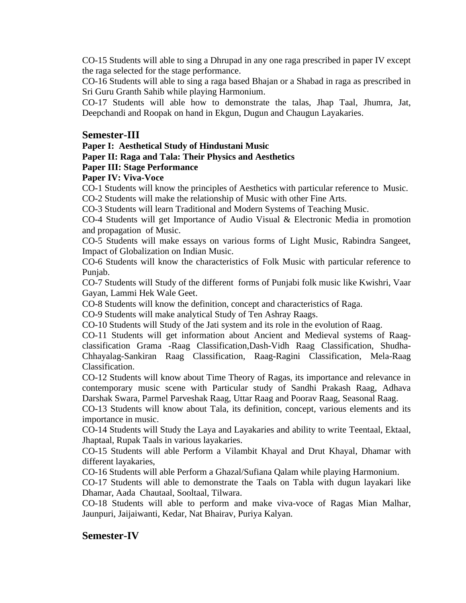CO-15 Students will able to sing a Dhrupad in any one raga prescribed in paper IV except the raga selected for the stage performance.

CO-16 Students will able to sing a raga based Bhajan or a Shabad in raga as prescribed in Sri Guru Granth Sahib while playing Harmonium.

CO-17 Students will able how to demonstrate the talas, Jhap Taal, Jhumra, Jat, Deepchandi and Roopak on hand in Ekgun, Dugun and Chaugun Layakaries.

## **Semester-III**

**Paper I: Aesthetical Study of Hindustani Music**

## **Paper II: Raga and Tala: Their Physics and Aesthetics**

## **Paper III: Stage Performance**

## **Paper IV: Viva-Voce**

CO-1 Students will know the principles of Aesthetics with particular reference to Music. CO-2 Students will make the relationship of Music with other Fine Arts.

CO-3 Students will learn Traditional and Modern Systems of Teaching Music.

CO-4 Students will get Importance of Audio Visual & Electronic Media in promotion and propagation of Music.

CO-5 Students will make essays on various forms of Light Music, Rabindra Sangeet, Impact of Globalization on Indian Music.

CO-6 Students will know the characteristics of Folk Music with particular reference to Punjab.

CO-7 Students will Study of the different forms of Punjabi folk music like Kwishri, Vaar Gayan, Lammi Hek Wale Geet.

CO-8 Students will know the definition, concept and characteristics of Raga.

CO-9 Students will make analytical Study of Ten Ashray Raags.

CO-10 Students will Study of the Jati system and its role in the evolution of Raag.

CO-11 Students will get information about Ancient and Medieval systems of Raagclassification Grama -Raag Classification,Dash-Vidh Raag Classification, Shudha-Chhayalag-Sankiran Raag Classification, Raag-Ragini Classification, Mela-Raag Classification.

CO-12 Students will know about Time Theory of Ragas, its importance and relevance in contemporary music scene with Particular study of Sandhi Prakash Raag, Adhava Darshak Swara, Parmel Parveshak Raag, Uttar Raag and Poorav Raag, Seasonal Raag.

CO-13 Students will know about Tala, its definition, concept, various elements and its importance in music.

CO-14 Students will Study the Laya and Layakaries and ability to write Teentaal, Ektaal, Jhaptaal, Rupak Taals in various layakaries.

CO-15 Students will able Perform a Vilambit Khayal and Drut Khayal, Dhamar with different layakaries,

CO-16 Students will able Perform a Ghazal/Sufiana Qalam while playing Harmonium.

CO-17 Students will able to demonstrate the Taals on Tabla with dugun layakari like Dhamar, Aada Chautaal, Sooltaal, Tilwara.

CO-18 Students will able to perform and make viva-voce of Ragas Mian Malhar, Jaunpuri, Jaijaiwanti, Kedar, Nat Bhairav, Puriya Kalyan.

# **Semester-IV**